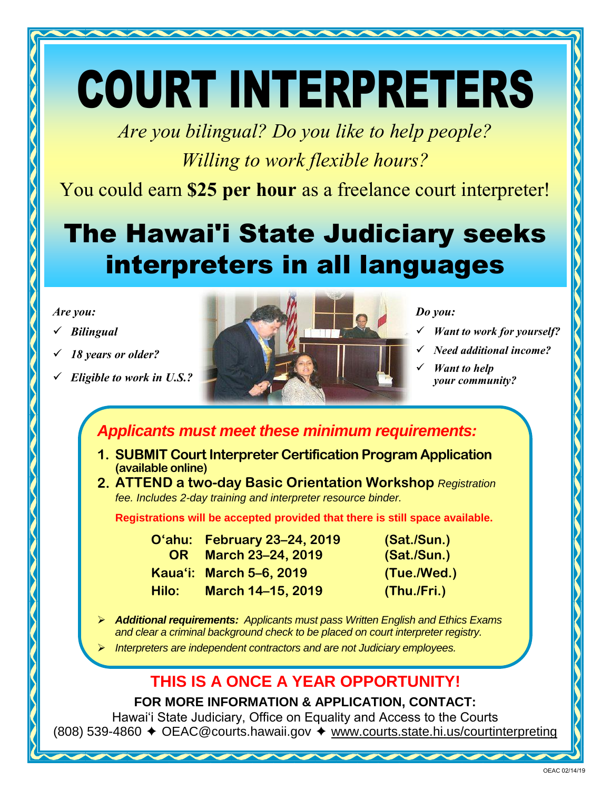# COURT INTERPRETERS

*Are you bilingual? Do you like to help people? Willing to work flexible hours?* 

You could earn **\$25 per hour** as a freelance court interpreter!

## **'** The Hawai'i State Judiciary seeks interpreters in all languages

#### *Are you:*

- *Bilingual*
- *18 years or older?*
- *Eligible to work in U.S.?*



*Do you:*

- *Want to work for yourself?*
- *Need additional income?*
- *Want to help your community?*

*Applicants must meet these minimum requirements:*

- **1. SUBMIT Court Interpreter Certification Program Application (available online)**
- **2. ATTEND a two-day Basic Orientation Workshop** *Registration fee. Includes 2-day training and interpreter resource binder.*

**Registrations will be accepted provided that there is still space available.**

| <b>O'ahu: February 23-24, 2019</b>    | (Sat./Sun.) |
|---------------------------------------|-------------|
| <b>March 23-24, 2019</b><br><b>OR</b> | (Sat./Sun.) |
| Kaua'i: March 5-6, 2019               | (Tue./Wed.) |
| March 14-15, 2019                     | (Thu./Fri.) |
|                                       |             |

- *Additional requirements: Applicants must pass Written English and Ethics Exams and clear a criminal background check to be placed on court interpreter registry.*
- *Interpreters are independent contractors and are not Judiciary employees.*

### **THIS IS A ONCE A YEAR OPPORTUNITY!**

**FOR MORE INFORMATION & APPLICATION, CONTACT:** 

Hawai'i State Judiciary, Office on Equality and Access to the Courts (808) 539-4860 ✦ OEAC@courts.hawaii.gov ✦ [www.courts.state.hi.us/courtinterpreting](http://www.courts.state.hi.us/courtinterpreting/)